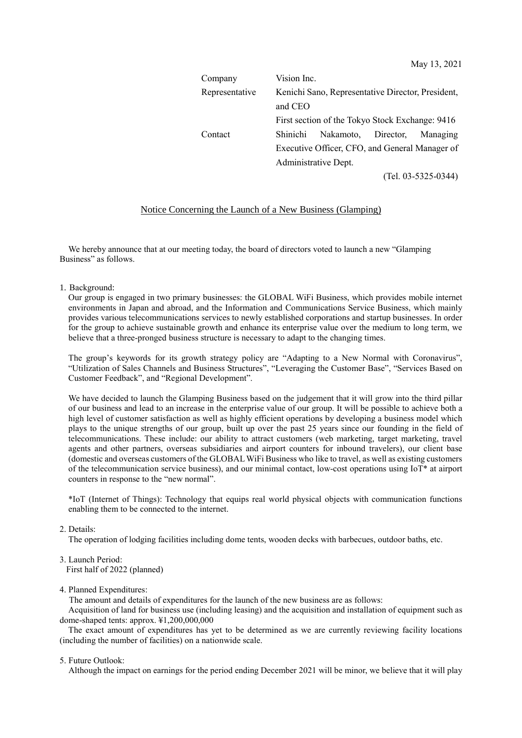| Company        | Vision Inc.                                       |                     |  |                       |
|----------------|---------------------------------------------------|---------------------|--|-----------------------|
| Representative | Kenichi Sano, Representative Director, President, |                     |  |                       |
|                | and CEO                                           |                     |  |                       |
|                | First section of the Tokyo Stock Exchange: 9416   |                     |  |                       |
| Contact        | <b>Shinichi</b>                                   | Nakamoto, Director, |  | Managing              |
|                | Executive Officer, CFO, and General Manager of    |                     |  |                       |
|                | Administrative Dept.                              |                     |  |                       |
|                |                                                   |                     |  | $(Tel. 03-5325-0344)$ |

# Notice Concerning the Launch of a New Business (Glamping)

We hereby announce that at our meeting today, the board of directors voted to launch a new "Glamping Business" as follows.

1. Background:

Our group is engaged in two primary businesses: the GLOBAL WiFi Business, which provides mobile internet environments in Japan and abroad, and the Information and Communications Service Business, which mainly provides various telecommunications services to newly established corporations and startup businesses. In order for the group to achieve sustainable growth and enhance its enterprise value over the medium to long term, we believe that a three-pronged business structure is necessary to adapt to the changing times.

The group's keywords for its growth strategy policy are "Adapting to a New Normal with Coronavirus", "Utilization of Sales Channels and Business Structures", "Leveraging the Customer Base", "Services Based on Customer Feedback", and "Regional Development".

We have decided to launch the Glamping Business based on the judgement that it will grow into the third pillar of our business and lead to an increase in the enterprise value of our group. It will be possible to achieve both a high level of customer satisfaction as well as highly efficient operations by developing a business model which plays to the unique strengths of our group, built up over the past 25 years since our founding in the field of telecommunications. These include: our ability to attract customers (web marketing, target marketing, travel agents and other partners, overseas subsidiaries and airport counters for inbound travelers), our client base (domestic and overseas customers of the GLOBALWiFi Business who like to travel, as well as existing customers of the telecommunication service business), and our minimal contact, low-cost operations using IoT\* at airport counters in response to the "new normal".

\*IoT (Internet of Things): Technology that equips real world physical objects with communication functions enabling them to be connected to the internet.

### 2. Details:

The operation of lodging facilities including dome tents, wooden decks with barbecues, outdoor baths, etc.

### 3. Launch Period:

First half of 2022 (planned)

### 4. Planned Expenditures:

The amount and details of expenditures for the launch of the new business are as follows:

Acquisition of land for business use (including leasing) and the acquisition and installation of equipment such as dome-shaped tents: approx. ¥1,200,000,000

The exact amount of expenditures has yet to be determined as we are currently reviewing facility locations (including the number of facilities) on a nationwide scale.

### 5. Future Outlook:

Although the impact on earnings for the period ending December 2021 will be minor, we believe that it will play